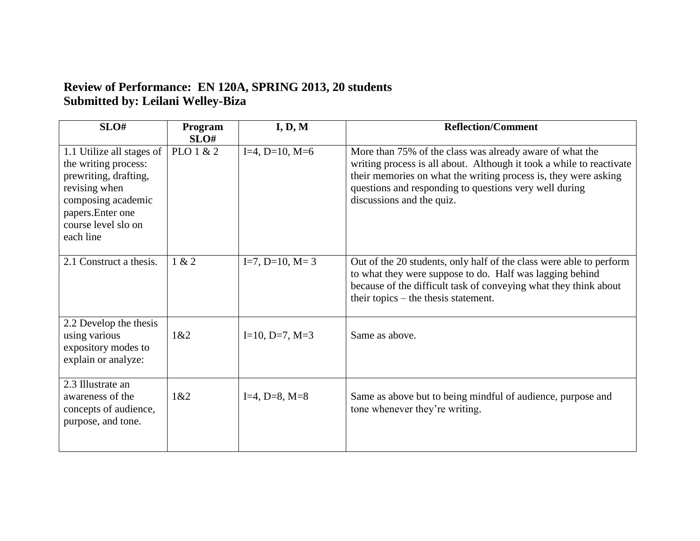## **Review of Performance: EN 120A, SPRING 2013, 20 students Submitted by: Leilani Welley-Biza**

| SLO#                                                                                                                                                                       | Program<br>SLO# | I, D, M                | <b>Reflection/Comment</b>                                                                                                                                                                                                                                                                  |
|----------------------------------------------------------------------------------------------------------------------------------------------------------------------------|-----------------|------------------------|--------------------------------------------------------------------------------------------------------------------------------------------------------------------------------------------------------------------------------------------------------------------------------------------|
| 1.1 Utilize all stages of<br>the writing process:<br>prewriting, drafting,<br>revising when<br>composing academic<br>papers. Enter one<br>course level slo on<br>each line | PLO 1 & 2       | $I=4$ , $D=10$ , $M=6$ | More than 75% of the class was already aware of what the<br>writing process is all about. Although it took a while to reactivate<br>their memories on what the writing process is, they were asking<br>questions and responding to questions very well during<br>discussions and the quiz. |
| 2.1 Construct a thesis.                                                                                                                                                    | 1 & 2           | $I=7, D=10, M=3$       | Out of the 20 students, only half of the class were able to perform<br>to what they were suppose to do. Half was lagging behind<br>because of the difficult task of conveying what they think about<br>their topics – the thesis statement.                                                |
| 2.2 Develop the thesis<br>using various<br>expository modes to<br>explain or analyze:                                                                                      | 1&82            | $I=10, D=7, M=3$       | Same as above.                                                                                                                                                                                                                                                                             |
| 2.3 Illustrate an<br>awareness of the<br>concepts of audience,<br>purpose, and tone.                                                                                       | 1&82            | $I=4, D=8, M=8$        | Same as above but to being mindful of audience, purpose and<br>tone whenever they're writing.                                                                                                                                                                                              |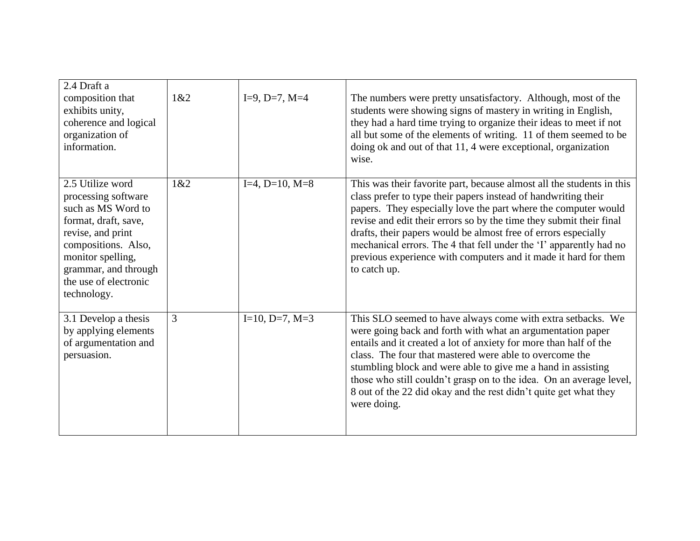| 2.4 Draft a<br>composition that<br>exhibits unity,<br>coherence and logical<br>organization of<br>information.                                                                                                         | 1&2 | $I=9$ , $D=7$ , $M=4$ | The numbers were pretty unsatisfactory. Although, most of the<br>students were showing signs of mastery in writing in English,<br>they had a hard time trying to organize their ideas to meet if not<br>all but some of the elements of writing. 11 of them seemed to be<br>doing ok and out of that 11, 4 were exceptional, organization<br>wise.                                                                                                                                                          |
|------------------------------------------------------------------------------------------------------------------------------------------------------------------------------------------------------------------------|-----|-----------------------|-------------------------------------------------------------------------------------------------------------------------------------------------------------------------------------------------------------------------------------------------------------------------------------------------------------------------------------------------------------------------------------------------------------------------------------------------------------------------------------------------------------|
| 2.5 Utilize word<br>processing software<br>such as MS Word to<br>format, draft, save,<br>revise, and print<br>compositions. Also,<br>monitor spelling,<br>grammar, and through<br>the use of electronic<br>technology. | 1&2 | $I=4, D=10, M=8$      | This was their favorite part, because almost all the students in this<br>class prefer to type their papers instead of handwriting their<br>papers. They especially love the part where the computer would<br>revise and edit their errors so by the time they submit their final<br>drafts, their papers would be almost free of errors especially<br>mechanical errors. The 4 that fell under the 'I' apparently had no<br>previous experience with computers and it made it hard for them<br>to catch up. |
| 3.1 Develop a thesis<br>by applying elements<br>of argumentation and<br>persuasion.                                                                                                                                    | 3   | $I=10, D=7, M=3$      | This SLO seemed to have always come with extra setbacks. We<br>were going back and forth with what an argumentation paper<br>entails and it created a lot of anxiety for more than half of the<br>class. The four that mastered were able to overcome the<br>stumbling block and were able to give me a hand in assisting<br>those who still couldn't grasp on to the idea. On an average level,<br>8 out of the 22 did okay and the rest didn't quite get what they<br>were doing.                         |